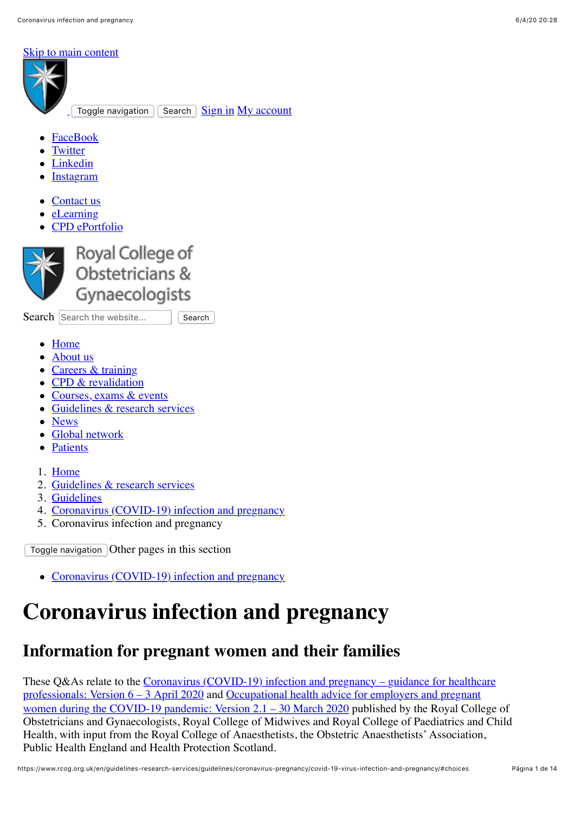#### [Skip to main content](#page-0-0)



- [FaceBook](https://www.facebook.com/RCObsGyn)
- **[Twitter](https://www.twitter.com/rcobsgyn)**
- [Linkedin](https://www.linkedin.com/company/royal-college-of-obstetricians-and-gynaecologists/)
- [Instagram](https://www.instagram.com/rcobsgyn/)
- [Contact us](https://www.rcog.org.uk/en/contact-us/)
- [eLearning](https://elearning.rcog.org.uk/)
- [CPD ePortfolio](https://cpd.rcog.org.uk/)



Royal College of Obstetricians & Gynaecologists

Search Search the website... | Search

- <span id="page-0-0"></span>• [Home](https://www.rcog.org.uk/en/)
- [About us](https://www.rcog.org.uk/en/about-us/)
- [Careers & training](https://www.rcog.org.uk/en/careers-training/)
- [CPD & revalidation](https://www.rcog.org.uk/en/cpd-revalidation/)
- [Courses, exams & events](https://www.rcog.org.uk/en/courses-exams-events/)
- [Guidelines & research services](https://www.rcog.org.uk/en/guidelines-research-services/)
- [News](https://www.rcog.org.uk/en/news/)
- [Global network](https://www.rcog.org.uk/en/global-network/)
- [Patients](https://www.rcog.org.uk/en/patients/)
- 1. [Home](https://www.rcog.org.uk/en/)
- 2. [Guidelines & research services](https://www.rcog.org.uk/en/guidelines-research-services/)
- 3. [Guidelines](https://www.rcog.org.uk/en/guidelines-research-services/guidelines/)
- 4. [Coronavirus \(COVID-19\) infection and pregnancy](https://www.rcog.org.uk/en/guidelines-research-services/guidelines/coronavirus-pregnancy/)
- 5. Coronavirus infection and pregnancy

Toggle navigation Other pages in this section

• [Coronavirus \(COVID-19\) infection and pregnancy](https://www.rcog.org.uk/en/guidelines-research-services/guidelines/coronavirus-pregnancy/)

# **Coronavirus infection and pregnancy**

# **Information for pregnant women and their families**

These  $Q&As$  relate to the Coronavirus (COVID-19) infection and pregnancy – guidance for healthcare [professionals: Version 6 – 3 April 2020 and Occupational health advice for employers and pregnant](https://www.rcog.org.uk/globalassets/documents/guidelines/2020-03-30-occupational-health-advice-for-employers-and-pregnant-women-during-the-covid-19-pandemic-20200406.pdf) women during the COVID-19 pandemic: Version 2.1 – 30 March 2020 published by the Royal College of Obstetricians and Gynaecologists, Royal College of Midwives and Royal College of Paediatrics and Child Health, with input from the Royal College of Anaesthetists, the Obstetric Anaesthetists' Association, Public Health England and Health Protection Scotland.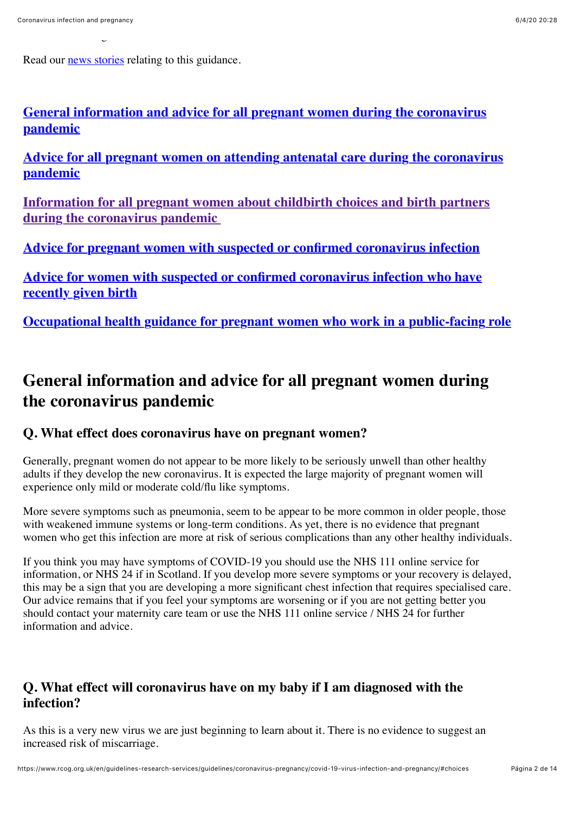Read our [news stories](https://www.rcog.org.uk/en/news/professional-bodies-response-to-government-advice-for-pregnant-women-to-self-isolate/) relating to this guidance.

Public Health England and Health Protection Scotland.

**[General information and advice for all pregnant women during the coronavirus](#page-1-0) pandemic**

**[Advice for all pregnant women on attending antenatal care during the coronavirus](#page-3-0) pandemic**

**[Information for all pregnant women about childbirth choices and birth partners](#page-4-0) during the coronavirus pandemic** 

**[Advice for pregnant women with suspected or confirmed coronavirus infection](#page-7-0)**

**[Advice for women with suspected or confirmed coronavirus infection who have](#page-10-0) recently given birth**

**[Occupational health guidance for pregnant women who work in a public-facing role](#page-11-0)**

# <span id="page-1-0"></span>**General information and advice for all pregnant women during the coronavirus pandemic**

#### **Q. What effect does coronavirus have on pregnant women?**

Generally, pregnant women do not appear to be more likely to be seriously unwell than other healthy adults if they develop the new coronavirus. It is expected the large majority of pregnant women will experience only mild or moderate cold/flu like symptoms.

More severe symptoms such as pneumonia, seem to be appear to be more common in older people, those with weakened immune systems or long-term conditions. As yet, there is no evidence that pregnant women who get this infection are more at risk of serious complications than any other healthy individuals.

If you think you may have symptoms of COVID-19 you should use the NHS 111 online service for information, or NHS 24 if in Scotland. If you develop more severe symptoms or your recovery is delayed, this may be a sign that you are developing a more significant chest infection that requires specialised care. Our advice remains that if you feel your symptoms are worsening or if you are not getting better you should contact your maternity care team or use the NHS 111 online service / NHS 24 for further information and advice.

#### **Q. What effect will coronavirus have on my baby if I am diagnosed with the infection?**

As this is a very new virus we are just beginning to learn about it. There is no evidence to suggest an increased risk of miscarriage.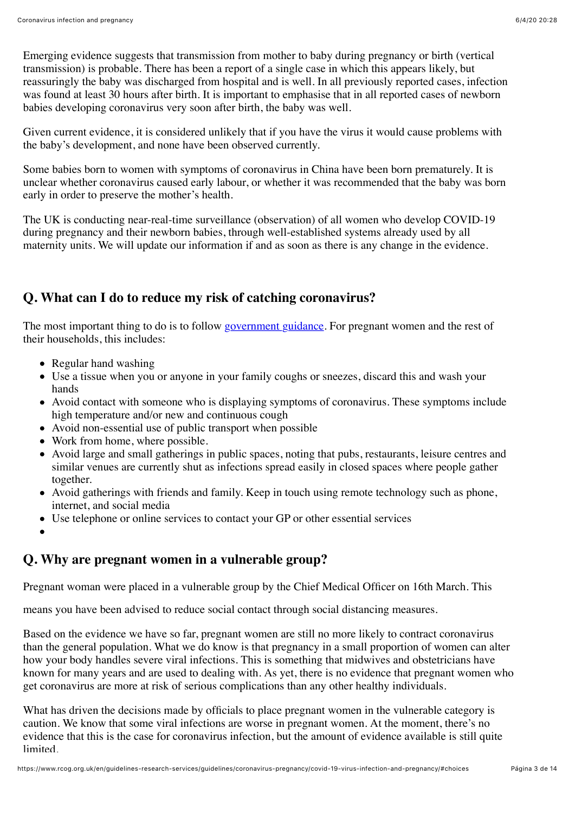Emerging evidence suggests that transmission from mother to baby during pregnancy or birth (vertical transmission) is probable. There has been a report of a single case in which this appears likely, but reassuringly the baby was discharged from hospital and is well. In all previously reported cases, infection was found at least 30 hours after birth. It is important to emphasise that in all reported cases of newborn babies developing coronavirus very soon after birth, the baby was well.

Given current evidence, it is considered unlikely that if you have the virus it would cause problems with the baby's development, and none have been observed currently.

Some babies born to women with symptoms of coronavirus in China have been born prematurely. It is unclear whether coronavirus caused early labour, or whether it was recommended that the baby was born early in order to preserve the mother's health.

The UK is conducting near-real-time surveillance (observation) of all women who develop COVID-19 during pregnancy and their newborn babies, through well-established systems already used by all maternity units. We will update our information if and as soon as there is any change in the evidence.

### **Q. What can I do to reduce my risk of catching coronavirus?**

The most important thing to do is to follow [government guidance](https://www.gov.uk/government/publications/covid-19-guidance-on-social-distancing-and-for-vulnerable-people/guidance-on-social-distancing-for-everyone-in-the-uk-and-protecting-older-people-and-vulnerable-adults). For pregnant women and the rest of their households, this includes:

- Regular hand washing
- Use a tissue when you or anyone in your family coughs or sneezes, discard this and wash your hands
- Avoid contact with someone who is displaying symptoms of coronavirus. These symptoms include high temperature and/or new and continuous cough
- Avoid non-essential use of public transport when possible
- Work from home, where possible.
- Avoid large and small gatherings in public spaces, noting that pubs, restaurants, leisure centres and similar venues are currently shut as infections spread easily in closed spaces where people gather together.
- Avoid gatherings with friends and family. Keep in touch using remote technology such as phone, internet, and social media
- Use telephone or online services to contact your GP or other essential services
- 

#### **Q. Why are pregnant women in a vulnerable group?**

Pregnant woman were placed in a vulnerable group by the Chief Medical Officer on 16th March. This

means you have been advised to reduce social contact through social distancing measures.

Based on the evidence we have so far, pregnant women are still no more likely to contract coronavirus than the general population. What we do know is that pregnancy in a small proportion of women can alter how your body handles severe viral infections. This is something that midwives and obstetricians have known for many years and are used to dealing with. As yet, there is no evidence that pregnant women who get coronavirus are more at risk of serious complications than any other healthy individuals.

What has driven the decisions made by officials to place pregnant women in the vulnerable category is caution. We know that some viral infections are worse in pregnant women. At the moment, there's no evidence that this is the case for coronavirus infection, but the amount of evidence available is still quite **limited**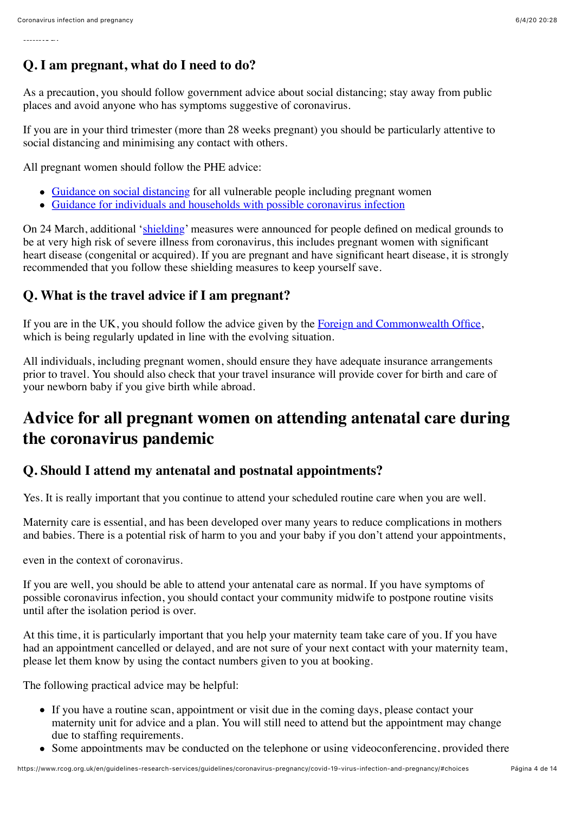#### **Q. I am pregnant, what do I need to do?**

As a precaution, you should follow government advice about social distancing; stay away from public places and avoid anyone who has symptoms suggestive of coronavirus.

If you are in your third trimester (more than 28 weeks pregnant) you should be particularly attentive to social distancing and minimising any contact with others.

All pregnant women should follow the PHE advice:

- [Guidance on social distancing](https://www.gov.uk/government/publications/covid-19-guidance-on-social-distancing-and-for-vulnerable-people/guidance-on-social-distancing-for-everyone-in-the-uk-and-protecting-older-people-and-vulnerable-adults) for all vulnerable people including pregnant women
- [Guidance for individuals and households with possible coronavirus infection](https://www.gov.uk/government/publications/covid-19-stay-at-home-guidance/stay-at-home-guidance-for-households-with-possible-coronavirus-covid-19-infection)

On 24 March, additional '[shielding'](https://www.gov.uk/government/publications/guidance-on-shielding-and-protecting-extremely-vulnerable-persons-from-covid-19/guidance-on-shielding-and-protecting-extremely-vulnerable-persons-from-covid-19) measures were announced for people defined on medical grounds to be at very high risk of severe illness from coronavirus, this includes pregnant women with significant heart disease (congenital or acquired). If you are pregnant and have significant heart disease, it is strongly recommended that you follow these shielding measures to keep yourself save.

#### **Q. What is the travel advice if I am pregnant?**

If you are in the UK, you should follow the advice given by the [Foreign and Commonwealth Office](https://www.gov.uk/guidance/travel-advice-novel-coronavirus), which is being regularly updated in line with the evolving situation.

All individuals, including pregnant women, should ensure they have adequate insurance arrangements prior to travel. You should also check that your travel insurance will provide cover for birth and care of your newborn baby if you give birth while abroad.

# <span id="page-3-0"></span>**Advice for all pregnant women on attending antenatal care during the coronavirus pandemic**

#### **Q. Should I attend my antenatal and postnatal appointments?**

Yes. It is really important that you continue to attend your scheduled routine care when you are well.

Maternity care is essential, and has been developed over many years to reduce complications in mothers and babies. There is a potential risk of harm to you and your baby if you don't attend your appointments,

even in the context of coronavirus.

If you are well, you should be able to attend your antenatal care as normal. If you have symptoms of possible coronavirus infection, you should contact your community midwife to postpone routine visits until after the isolation period is over.

At this time, it is particularly important that you help your maternity team take care of you. If you have had an appointment cancelled or delayed, and are not sure of your next contact with your maternity team, please let them know by using the contact numbers given to you at booking.

The following practical advice may be helpful:

- If you have a routine scan, appointment or visit due in the coming days, please contact your maternity unit for advice and a plan. You will still need to attend but the appointment may change due to staffing requirements.
- Some appointments may be conducted on the telephone or using videoconferencing, provided there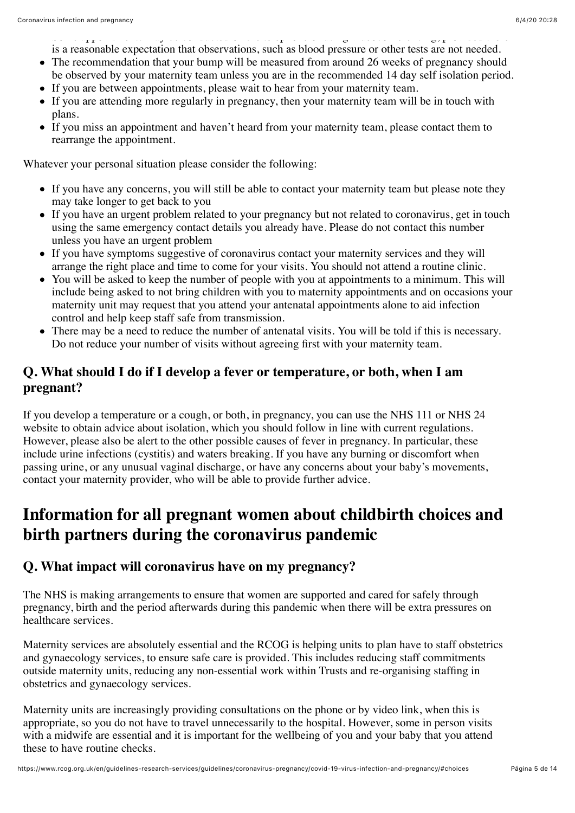$\begin{array}{ccccc} \text{I} & & & & \text{I} & & \text{I} & \text{I} & \text{I} & \text{I} & \text{I} & \text{I} & \text{I} & \text{I} & \text{I} & \text{I} & \text{I} & \text{I} & \text{I} & \text{I} & \text{I} & \text{I} & \text{I} & \text{I} & \text{I} & \text{I} & \text{I} & \text{I} & \text{I} & \text{I} & \text{I} & \text{I} & \text{I} & \text{I} & \text{I} & \text{I} & \text{I} & \text{I} & \text{I$ is a reasonable expectation that observations, such as blood pressure or other tests are not needed.

- The recommendation that your bump will be measured from around 26 weeks of pregnancy should be observed by your maternity team unless you are in the recommended 14 day self isolation period.
- If you are between appointments, please wait to hear from your maternity team.
- If you are attending more regularly in pregnancy, then your maternity team will be in touch with plans.
- If you miss an appointment and haven't heard from your maternity team, please contact them to rearrange the appointment.

Whatever your personal situation please consider the following:

- If you have any concerns, you will still be able to contact your maternity team but please note they may take longer to get back to you
- If you have an urgent problem related to your pregnancy but not related to coronavirus, get in touch using the same emergency contact details you already have. Please do not contact this number unless you have an urgent problem
- If you have symptoms suggestive of coronavirus contact your maternity services and they will arrange the right place and time to come for your visits. You should not attend a routine clinic.
- You will be asked to keep the number of people with you at appointments to a minimum. This will include being asked to not bring children with you to maternity appointments and on occasions your maternity unit may request that you attend your antenatal appointments alone to aid infection control and help keep staff safe from transmission.
- There may be a need to reduce the number of antenatal visits. You will be told if this is necessary. Do not reduce your number of visits without agreeing first with your maternity team.

#### **Q. What should I do if I develop a fever or temperature, or both, when I am pregnant?**

If you develop a temperature or a cough, or both, in pregnancy, you can use the NHS 111 or NHS 24 website to obtain advice about isolation, which you should follow in line with current regulations. However, please also be alert to the other possible causes of fever in pregnancy. In particular, these include urine infections (cystitis) and waters breaking. If you have any burning or discomfort when passing urine, or any unusual vaginal discharge, or have any concerns about your baby's movements, contact your maternity provider, who will be able to provide further advice.

# <span id="page-4-0"></span>**Information for all pregnant women about childbirth choices and birth partners during the coronavirus pandemic**

#### **Q. What impact will coronavirus have on my pregnancy?**

The NHS is making arrangements to ensure that women are supported and cared for safely through pregnancy, birth and the period afterwards during this pandemic when there will be extra pressures on healthcare services.

Maternity services are absolutely essential and the RCOG is helping units to plan have to staff obstetrics and gynaecology services, to ensure safe care is provided. This includes reducing staff commitments outside maternity units, reducing any non-essential work within Trusts and re-organising staffing in obstetrics and gynaecology services.

Maternity units are increasingly providing consultations on the phone or by video link, when this is appropriate, so you do not have to travel unnecessarily to the hospital. However, some in person visits with a midwife are essential and it is important for the wellbeing of you and your baby that you attend these to have routine checks.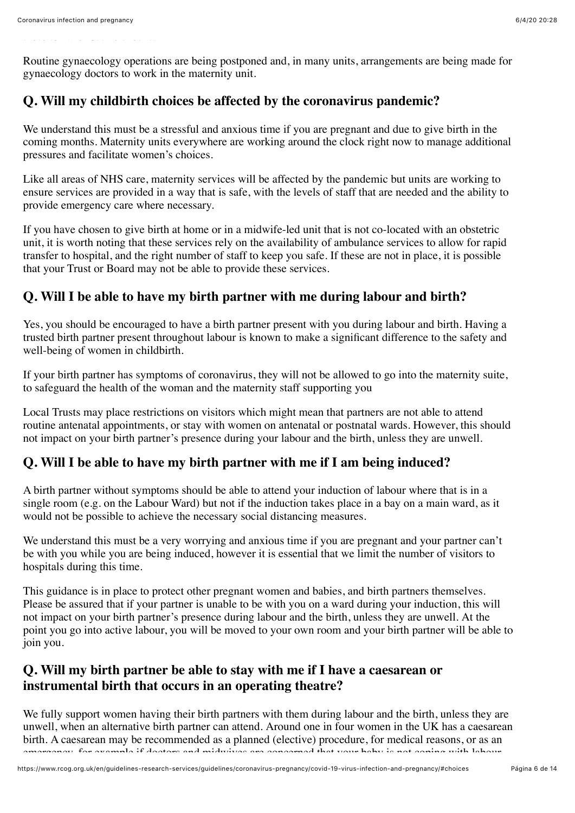Routine gynaecology operations are being postponed and, in many units, arrangements are being made for gynaecology doctors to work in the maternity unit.

#### **Q. Will my childbirth choices be affected by the coronavirus pandemic?**

We understand this must be a stressful and anxious time if you are pregnant and due to give birth in the coming months. Maternity units everywhere are working around the clock right now to manage additional pressures and facilitate women's choices.

Like all areas of NHS care, maternity services will be affected by the pandemic but units are working to ensure services are provided in a way that is safe, with the levels of staff that are needed and the ability to provide emergency care where necessary.

If you have chosen to give birth at home or in a midwife-led unit that is not co-located with an obstetric unit, it is worth noting that these services rely on the availability of ambulance services to allow for rapid transfer to hospital, and the right number of staff to keep you safe. If these are not in place, it is possible that your Trust or Board may not be able to provide these services.

#### **Q. Will I be able to have my birth partner with me during labour and birth?**

Yes, you should be encouraged to have a birth partner present with you during labour and birth. Having a trusted birth partner present throughout labour is known to make a significant difference to the safety and well-being of women in childbirth.

If your birth partner has symptoms of coronavirus, they will not be allowed to go into the maternity suite, to safeguard the health of the woman and the maternity staff supporting you

Local Trusts may place restrictions on visitors which might mean that partners are not able to attend routine antenatal appointments, or stay with women on antenatal or postnatal wards. However, this should not impact on your birth partner's presence during your labour and the birth, unless they are unwell.

#### **Q. Will I be able to have my birth partner with me if I am being induced?**

A birth partner without symptoms should be able to attend your induction of labour where that is in a single room (e.g. on the Labour Ward) but not if the induction takes place in a bay on a main ward, as it would not be possible to achieve the necessary social distancing measures.

We understand this must be a very worrying and anxious time if you are pregnant and your partner can't be with you while you are being induced, however it is essential that we limit the number of visitors to hospitals during this time.

This guidance is in place to protect other pregnant women and babies, and birth partners themselves. Please be assured that if your partner is unable to be with you on a ward during your induction, this will not impact on your birth partner's presence during labour and the birth, unless they are unwell. At the point you go into active labour, you will be moved to your own room and your birth partner will be able to join you.

#### **Q. Will my birth partner be able to stay with me if I have a caesarean or instrumental birth that occurs in an operating theatre?**

We fully support women having their birth partners with them during labour and the birth, unless they are unwell, when an alternative birth partner can attend. Around one in four women in the UK has a caesarean birth. A caesarean may be recommended as a planned (elective) procedure, for medical reasons, or as an emergency, for example if doctors and midwives are concerned that your baby is not coping with labour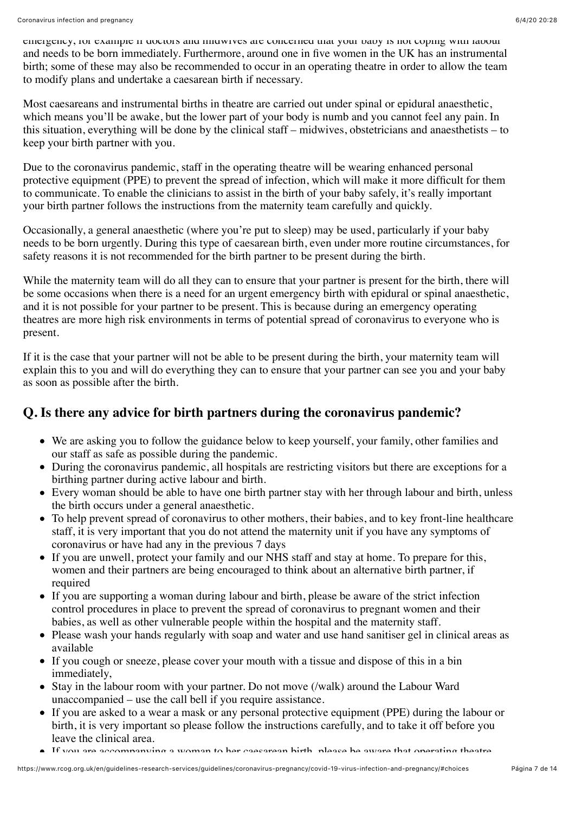emergency, for example if doctors and midwives are concerned that your baby is not coping with labour and needs to be born immediately. Furthermore, around one in five women in the UK has an instrumental birth; some of these may also be recommended to occur in an operating theatre in order to allow the team to modify plans and undertake a caesarean birth if necessary.

Most caesareans and instrumental births in theatre are carried out under spinal or epidural anaesthetic, which means you'll be awake, but the lower part of your body is numb and you cannot feel any pain. In this situation, everything will be done by the clinical staff – midwives, obstetricians and anaesthetists – to keep your birth partner with you.

Due to the coronavirus pandemic, staff in the operating theatre will be wearing enhanced personal protective equipment (PPE) to prevent the spread of infection, which will make it more difficult for them to communicate. To enable the clinicians to assist in the birth of your baby safely, it's really important your birth partner follows the instructions from the maternity team carefully and quickly.

Occasionally, a general anaesthetic (where you're put to sleep) may be used, particularly if your baby needs to be born urgently. During this type of caesarean birth, even under more routine circumstances, for safety reasons it is not recommended for the birth partner to be present during the birth.

While the maternity team will do all they can to ensure that your partner is present for the birth, there will be some occasions when there is a need for an urgent emergency birth with epidural or spinal anaesthetic, and it is not possible for your partner to be present. This is because during an emergency operating theatres are more high risk environments in terms of potential spread of coronavirus to everyone who is present.

If it is the case that your partner will not be able to be present during the birth, your maternity team will explain this to you and will do everything they can to ensure that your partner can see you and your baby as soon as possible after the birth.

### **Q. Is there any advice for birth partners during the coronavirus pandemic?**

- We are asking you to follow the guidance below to keep yourself, your family, other families and our staff as safe as possible during the pandemic.
- During the coronavirus pandemic, all hospitals are restricting visitors but there are exceptions for a birthing partner during active labour and birth.
- Every woman should be able to have one birth partner stay with her through labour and birth, unless the birth occurs under a general anaesthetic.
- To help prevent spread of coronavirus to other mothers, their babies, and to key front-line healthcare staff, it is very important that you do not attend the maternity unit if you have any symptoms of coronavirus or have had any in the previous 7 days
- If you are unwell, protect your family and our NHS staff and stay at home. To prepare for this, women and their partners are being encouraged to think about an alternative birth partner, if required
- If you are supporting a woman during labour and birth, please be aware of the strict infection control procedures in place to prevent the spread of coronavirus to pregnant women and their babies, as well as other vulnerable people within the hospital and the maternity staff.
- Please wash your hands regularly with soap and water and use hand sanitiser gel in clinical areas as available
- If you cough or sneeze, please cover your mouth with a tissue and dispose of this in a bin immediately,
- Stay in the labour room with your partner. Do not move (/walk) around the Labour Ward unaccompanied – use the call bell if you require assistance.
- If you are asked to a wear a mask or any personal protective equipment (PPE) during the labour or birth, it is very important so please follow the instructions carefully, and to take it off before you leave the clinical area.
- $\blacktriangle$  If you are accompanying a woman to her caesarean birth, please be aware that operating theatre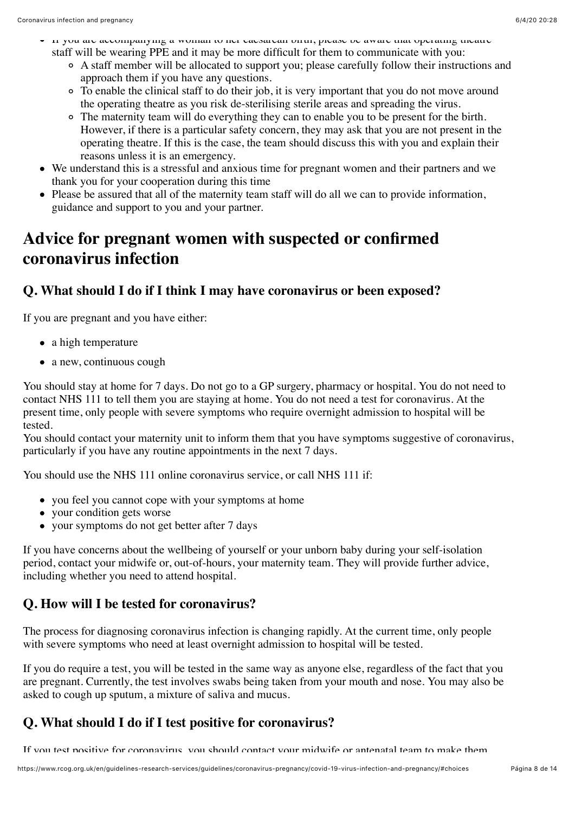- If you are accompanying a woman to her caesarean birth, please be aware that operating theatre staff will be wearing PPE and it may be more difficult for them to communicate with you:
	- A staff member will be allocated to support you; please carefully follow their instructions and approach them if you have any questions.
	- To enable the clinical staff to do their job, it is very important that you do not move around the operating theatre as you risk de-sterilising sterile areas and spreading the virus.
	- The maternity team will do everything they can to enable you to be present for the birth. However, if there is a particular safety concern, they may ask that you are not present in the operating theatre. If this is the case, the team should discuss this with you and explain their reasons unless it is an emergency.
- We understand this is a stressful and anxious time for pregnant women and their partners and we thank you for your cooperation during this time
- Please be assured that all of the maternity team staff will do all we can to provide information, guidance and support to you and your partner.

# <span id="page-7-0"></span>**Advice for pregnant women with suspected or confirmed coronavirus infection**

#### **Q. What should I do if I think I may have coronavirus or been exposed?**

If you are pregnant and you have either:

- a high temperature
- a new, continuous cough

You should stay at home for 7 days. Do not go to a GP surgery, pharmacy or hospital. You do not need to contact NHS 111 to tell them you are staying at home. You do not need a test for coronavirus. At the present time, only people with severe symptoms who require overnight admission to hospital will be tested.

You should contact your maternity unit to inform them that you have symptoms suggestive of coronavirus, particularly if you have any routine appointments in the next 7 days.

You should use the NHS 111 online coronavirus service, or call NHS 111 if:

- you feel you cannot cope with your symptoms at home
- vour condition gets worse
- your symptoms do not get better after 7 days

If you have concerns about the wellbeing of yourself or your unborn baby during your self-isolation period, contact your midwife or, out-of-hours, your maternity team. They will provide further advice, including whether you need to attend hospital.

#### **Q. How will I be tested for coronavirus?**

The process for diagnosing coronavirus infection is changing rapidly. At the current time, only people with severe symptoms who need at least overnight admission to hospital will be tested.

If you do require a test, you will be tested in the same way as anyone else, regardless of the fact that you are pregnant. Currently, the test involves swabs being taken from your mouth and nose. You may also be asked to cough up sputum, a mixture of saliva and mucus.

### **Q. What should I do if I test positive for coronavirus?**

If you test positive for coronavirus, you should contact your midwife or antenatal team to make them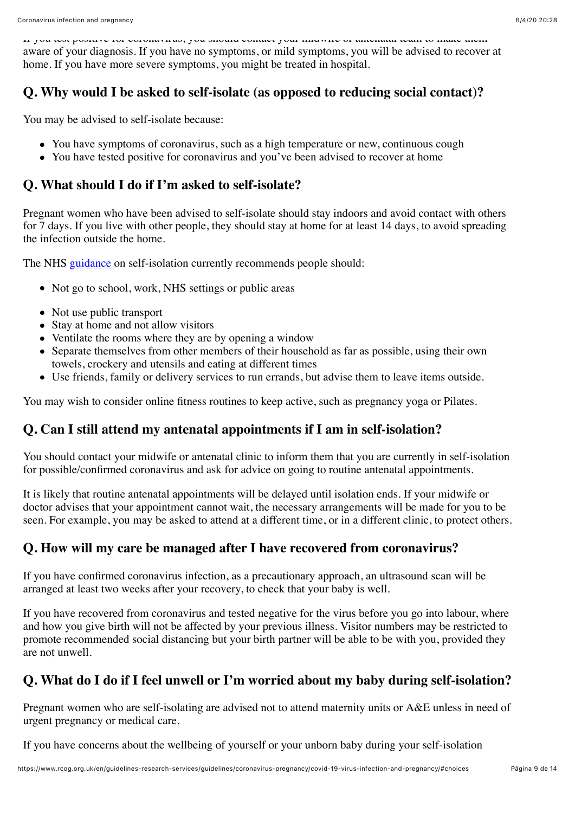If you test positive for coronavirus, you should contact your midwife or antenatal team to make them aware of your diagnosis. If you have no symptoms, or mild symptoms, you will be advised to recover at home. If you have more severe symptoms, you might be treated in hospital.

#### **Q. Why would I be asked to self-isolate (as opposed to reducing social contact)?**

You may be advised to self-isolate because:

- You have symptoms of coronavirus, such as a high temperature or new, continuous cough
- You have tested positive for coronavirus and you've been advised to recover at home

#### **Q. What should I do if I'm asked to self-isolate?**

Pregnant women who have been advised to self-isolate should stay indoors and avoid contact with others for 7 days. If you live with other people, they should stay at home for at least 14 days, to avoid spreading the infection outside the home.

The NHS [guidance](https://www.nhs.uk/conditions/coronavirus-covid-19/self-isolation-advice/) on self-isolation currently recommends people should:

- Not go to school, work, NHS settings or public areas
- Not use public transport
- Stay at home and not allow visitors
- Ventilate the rooms where they are by opening a window
- Separate themselves from other members of their household as far as possible, using their own towels, crockery and utensils and eating at different times
- Use friends, family or delivery services to run errands, but advise them to leave items outside.

You may wish to consider online fitness routines to keep active, such as pregnancy yoga or Pilates.

#### **Q. Can I still attend my antenatal appointments if I am in self-isolation?**

You should contact your midwife or antenatal clinic to inform them that you are currently in self-isolation for possible/confirmed coronavirus and ask for advice on going to routine antenatal appointments.

It is likely that routine antenatal appointments will be delayed until isolation ends. If your midwife or doctor advises that your appointment cannot wait, the necessary arrangements will be made for you to be seen. For example, you may be asked to attend at a different time, or in a different clinic, to protect others.

#### **Q. How will my care be managed after I have recovered from coronavirus?**

If you have confirmed coronavirus infection, as a precautionary approach, an ultrasound scan will be arranged at least two weeks after your recovery, to check that your baby is well.

If you have recovered from coronavirus and tested negative for the virus before you go into labour, where and how you give birth will not be affected by your previous illness. Visitor numbers may be restricted to promote recommended social distancing but your birth partner will be able to be with you, provided they are not unwell.

### **Q. What do I do if I feel unwell or I'm worried about my baby during self-isolation?**

Pregnant women who are self-isolating are advised not to attend maternity units or A&E unless in need of urgent pregnancy or medical care.

If you have concerns about the wellbeing of yourself or your unborn baby during your self-isolation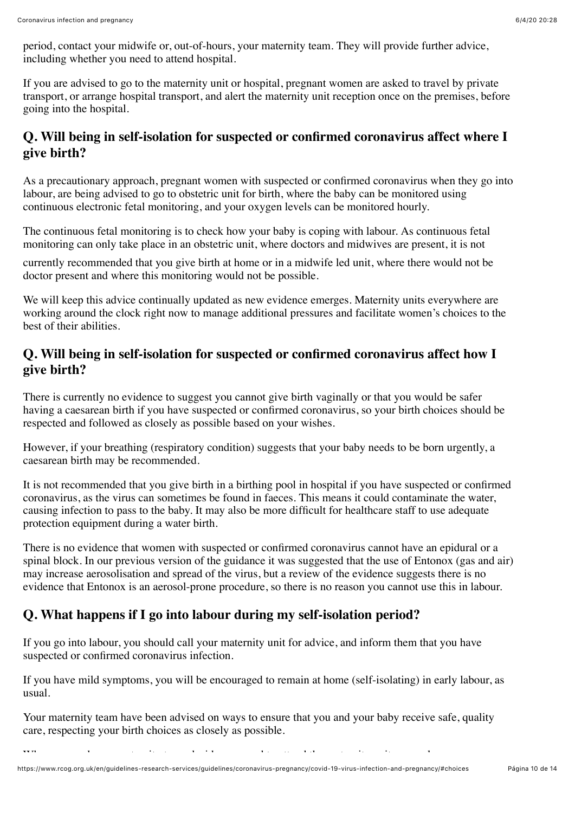period, contact your midwife or, out-of-hours, your maternity team. They will provide further advice, including whether you need to attend hospital.

If you are advised to go to the maternity unit or hospital, pregnant women are asked to travel by private transport, or arrange hospital transport, and alert the maternity unit reception once on the premises, before going into the hospital.

#### **Q. Will being in self-isolation for suspected or confirmed coronavirus affect where I give birth?**

As a precautionary approach, pregnant women with suspected or confirmed coronavirus when they go into labour, are being advised to go to obstetric unit for birth, where the baby can be monitored using continuous electronic fetal monitoring, and your oxygen levels can be monitored hourly.

The continuous fetal monitoring is to check how your baby is coping with labour. As continuous fetal monitoring can only take place in an obstetric unit, where doctors and midwives are present, it is not

currently recommended that you give birth at home or in a midwife led unit, where there would not be doctor present and where this monitoring would not be possible.

We will keep this advice continually updated as new evidence emerges. Maternity units everywhere are working around the clock right now to manage additional pressures and facilitate women's choices to the best of their abilities.

#### **Q. Will being in self-isolation for suspected or confirmed coronavirus affect how I give birth?**

There is currently no evidence to suggest you cannot give birth vaginally or that you would be safer having a caesarean birth if you have suspected or confirmed coronavirus, so your birth choices should be respected and followed as closely as possible based on your wishes.

However, if your breathing (respiratory condition) suggests that your baby needs to be born urgently, a caesarean birth may be recommended.

It is not recommended that you give birth in a birthing pool in hospital if you have suspected or confirmed coronavirus, as the virus can sometimes be found in faeces. This means it could contaminate the water, causing infection to pass to the baby. It may also be more difficult for healthcare staff to use adequate protection equipment during a water birth.

There is no evidence that women with suspected or confirmed coronavirus cannot have an epidural or a spinal block. In our previous version of the guidance it was suggested that the use of Entonox (gas and air) may increase aerosolisation and spread of the virus, but a review of the evidence suggests there is no evidence that Entonox is an aerosol-prone procedure, so there is no reason you cannot use this in labour.

### **Q. What happens if I go into labour during my self-isolation period?**

If you go into labour, you should call your maternity unit for advice, and inform them that you have suspected or confirmed coronavirus infection.

If you have mild symptoms, you will be encouraged to remain at home (self-isolating) in early labour, as usual.

Your maternity team have been advised on ways to ensure that you and your baby receive safe, quality care, respecting your birth choices as closely as possible.

When you and you and you and you and you need to attend the maternity unit, general to attend the maternity un<br>The maternity unit, general to attend the maternity unit, general to attend the maternity unit, general to att

https://www.rcog.org.uk/en/guidelines-research-services/guidelines/coronavirus-pregnancy/covid-19-virus-infection-and-pregnancy/#choices Página 10 de 14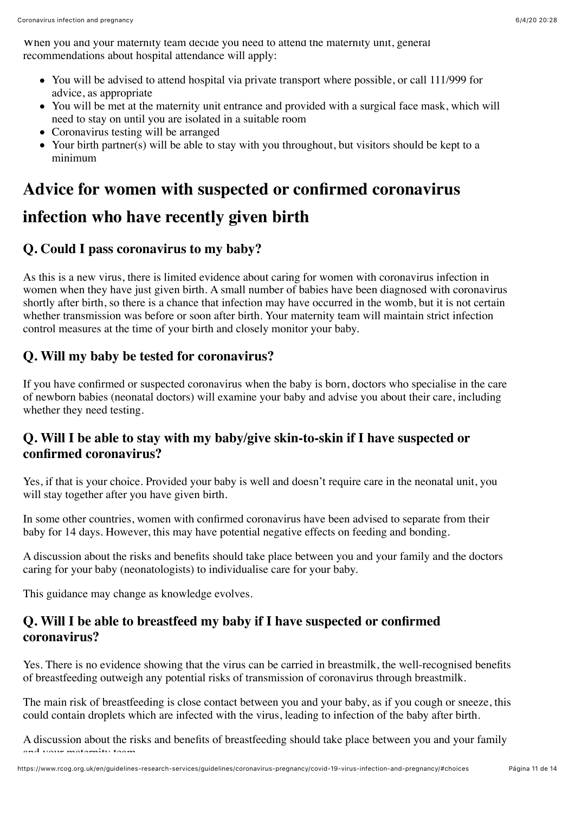When you and your maternity team decide you need to attend the maternity unit, general recommendations about hospital attendance will apply:

- You will be advised to attend hospital via private transport where possible, or call 111/999 for advice, as appropriate
- You will be met at the maternity unit entrance and provided with a surgical face mask, which will need to stay on until you are isolated in a suitable room
- Coronavirus testing will be arranged
- Your birth partner(s) will be able to stay with you throughout, but visitors should be kept to a minimum

### <span id="page-10-0"></span>**Advice for women with suspected or confirmed coronavirus**

# **infection who have recently given birth**

### **Q. Could I pass coronavirus to my baby?**

As this is a new virus, there is limited evidence about caring for women with coronavirus infection in women when they have just given birth. A small number of babies have been diagnosed with coronavirus shortly after birth, so there is a chance that infection may have occurred in the womb, but it is not certain whether transmission was before or soon after birth. Your maternity team will maintain strict infection control measures at the time of your birth and closely monitor your baby.

#### **Q. Will my baby be tested for coronavirus?**

If you have confirmed or suspected coronavirus when the baby is born, doctors who specialise in the care of newborn babies (neonatal doctors) will examine your baby and advise you about their care, including whether they need testing.

#### **Q. Will I be able to stay with my baby/give skin-to-skin if I have suspected or confirmed coronavirus?**

Yes, if that is your choice. Provided your baby is well and doesn't require care in the neonatal unit, you will stay together after you have given birth.

In some other countries, women with confirmed coronavirus have been advised to separate from their baby for 14 days. However, this may have potential negative effects on feeding and bonding.

A discussion about the risks and benefits should take place between you and your family and the doctors caring for your baby (neonatologists) to individualise care for your baby.

This guidance may change as knowledge evolves.

#### **Q. Will I be able to breastfeed my baby if I have suspected or confirmed coronavirus?**

Yes. There is no evidence showing that the virus can be carried in breastmilk, the well-recognised benefits of breastfeeding outweigh any potential risks of transmission of coronavirus through breastmilk.

The main risk of breastfeeding is close contact between you and your baby, as if you cough or sneeze, this could contain droplets which are infected with the virus, leading to infection of the baby after birth.

A discussion about the risks and benefits of breastfeeding should take place between you and your family and viaria matamater taam.<br>.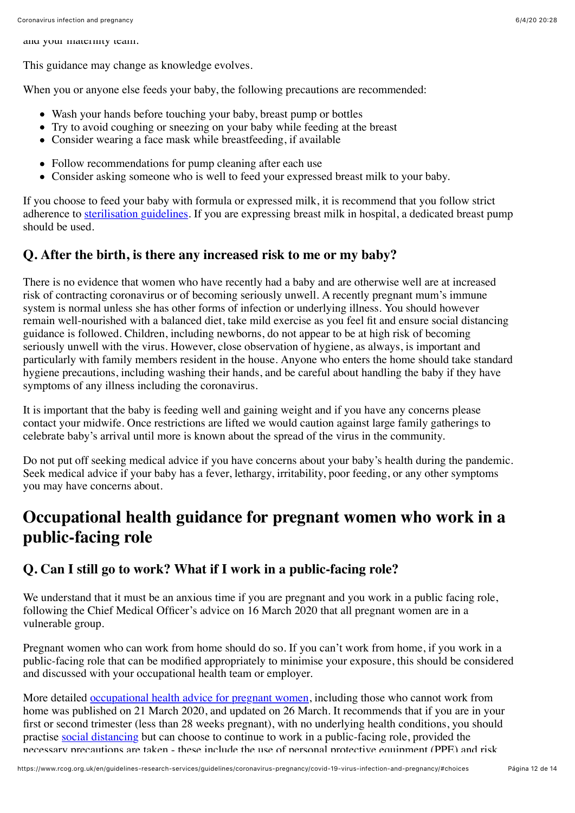and your maternity team.

This guidance may change as knowledge evolves.

When you or anyone else feeds your baby, the following precautions are recommended:

- Wash your hands before touching your baby, breast pump or bottles
- Try to avoid coughing or sneezing on your baby while feeding at the breast
- Consider wearing a face mask while breastfeeding, if available
- Follow recommendations for pump cleaning after each use
- Consider asking someone who is well to feed your expressed breast milk to your baby.

If you choose to feed your baby with formula or expressed milk, it is recommend that you follow strict adherence to [sterilisation guidelines.](https://www.nhs.uk/conditions/pregnancy-and-baby/sterilising-bottles/) If you are expressing breast milk in hospital, a dedicated breast pump should be used.

#### **Q. After the birth, is there any increased risk to me or my baby?**

There is no evidence that women who have recently had a baby and are otherwise well are at increased risk of contracting coronavirus or of becoming seriously unwell. A recently pregnant mum's immune system is normal unless she has other forms of infection or underlying illness. You should however remain well-nourished with a balanced diet, take mild exercise as you feel fit and ensure social distancing guidance is followed. Children, including newborns, do not appear to be at high risk of becoming seriously unwell with the virus. However, close observation of hygiene, as always, is important and particularly with family members resident in the house. Anyone who enters the home should take standard hygiene precautions, including washing their hands, and be careful about handling the baby if they have symptoms of any illness including the coronavirus.

It is important that the baby is feeding well and gaining weight and if you have any concerns please contact your midwife. Once restrictions are lifted we would caution against large family gatherings to celebrate baby's arrival until more is known about the spread of the virus in the community.

Do not put off seeking medical advice if you have concerns about your baby's health during the pandemic. Seek medical advice if your baby has a fever, lethargy, irritability, poor feeding, or any other symptoms you may have concerns about.

### <span id="page-11-0"></span>**Occupational health guidance for pregnant women who work in a public-facing role**

#### **Q. Can I still go to work? What if I work in a public-facing role?**

We understand that it must be an anxious time if you are pregnant and you work in a public facing role, following the Chief Medical Officer's advice on 16 March 2020 that all pregnant women are in a vulnerable group.

Pregnant women who can work from home should do so. If you can't work from home, if you work in a public-facing role that can be modified appropriately to minimise your exposure, this should be considered and discussed with your occupational health team or employer.

More detailed [occupational health advice for pregnant women,](https://www.rcog.org.uk/globalassets/documents/guidelines/2020-03-26-covid19-occupational-health.pdf) including those who cannot work from home was published on 21 March 2020, and updated on 26 March. It recommends that if you are in your first or second trimester (less than 28 weeks pregnant), with no underlying health conditions, you should practise [social distancing](https://www.gov.uk/government/publications/covid-19-guidance-on-social-distancing-and-for-vulnerable-people/guidance-on-social-distancing-for-everyone-in-the-uk-and-protecting-older-people-and-vulnerable-adults) but can choose to continue to work in a public-facing role, provided the necessary precautions are taken - these include the use of personal protective equipment (PPE) and risk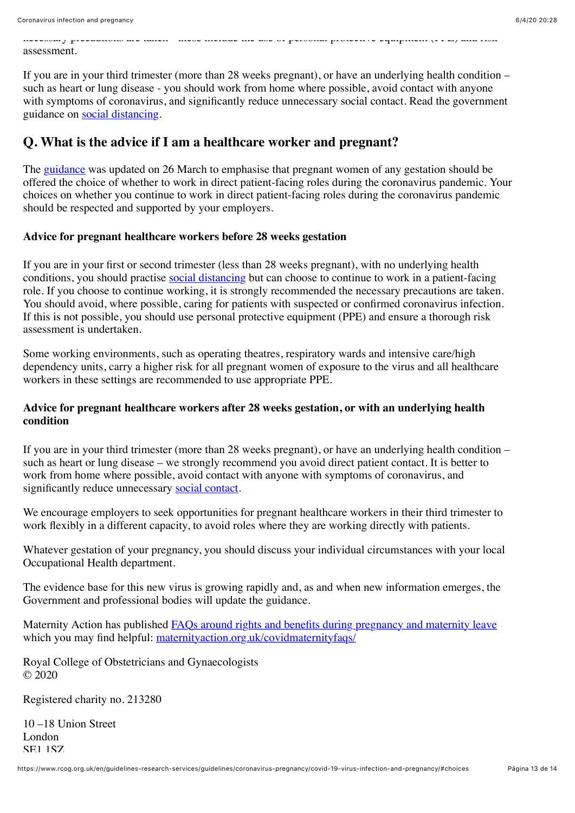necessary precautions are taken - these include the use of personal protective equipment (PPE) and risk assessment.

If you are in your third trimester (more than 28 weeks pregnant), or have an underlying health condition – such as heart or lung disease - you should work from home where possible, avoid contact with anyone with symptoms of coronavirus, and significantly reduce unnecessary social contact. Read the government guidance on [social distancing](https://www.gov.uk/government/publications/covid-19-guidance-on-social-distancing-and-for-vulnerable-people/guidance-on-social-distancing-for-everyone-in-the-uk-and-protecting-older-people-and-vulnerable-adults).

#### **Q. What is the advice if I am a healthcare worker and pregnant?**

The [guidance](https://www.rcog.org.uk/globalassets/documents/guidelines/2020-03-26-covid19-occupational-health.pdf) was updated on 26 March to emphasise that pregnant women of any gestation should be offered the choice of whether to work in direct patient-facing roles during the coronavirus pandemic. Your choices on whether you continue to work in direct patient-facing roles during the coronavirus pandemic should be respected and supported by your employers.

#### **Advice for pregnant healthcare workers before 28 weeks gestation**

If you are in your first or second trimester (less than 28 weeks pregnant), with no underlying health conditions, you should practise [social distancing](https://www.gov.uk/government/publications/covid-19-guidance-on-social-distancing-and-for-vulnerable-people/guidance-on-social-distancing-for-everyone-in-the-uk-and-protecting-older-people-and-vulnerable-adults) but can choose to continue to work in a patient-facing role. If you choose to continue working, it is strongly recommended the necessary precautions are taken. You should avoid, where possible, caring for patients with suspected or confirmed coronavirus infection. If this is not possible, you should use personal protective equipment (PPE) and ensure a thorough risk assessment is undertaken.

Some working environments, such as operating theatres, respiratory wards and intensive care/high dependency units, carry a higher risk for all pregnant women of exposure to the virus and all healthcare workers in these settings are recommended to use appropriate PPE.

#### **Advice for pregnant healthcare workers after 28 weeks gestation, or with an underlying health condition**

If you are in your third trimester (more than 28 weeks pregnant), or have an underlying health condition – such as heart or lung disease – we strongly recommend you avoid direct patient contact. It is better to work from home where possible, avoid contact with anyone with symptoms of coronavirus, and significantly reduce unnecessary [social contact.](https://www.gov.uk/government/publications/covid-19-guidance-on-social-distancing-and-for-vulnerable-people/guidance-on-social-distancing-for-everyone-in-the-uk-and-protecting-older-people-and-vulnerable-adults)

We encourage employers to seek opportunities for pregnant healthcare workers in their third trimester to work flexibly in a different capacity, to avoid roles where they are working directly with patients.

Whatever gestation of your pregnancy, you should discuss your individual circumstances with your local Occupational Health department.

The evidence base for this new virus is growing rapidly and, as and when new information emerges, the Government and professional bodies will update the guidance.

Maternity Action has published [FAQs around rights and benefits during pregnancy and maternity leave](https://maternityaction.org.uk/covidmaternityfaqs/) which you may find helpful: maternity action.org.uk/covidmaternity faqs/

Royal College of Obstetricians and Gynaecologists © 2020

Registered charity no. 213280

10 –18 Union Street London **SE1 1SZ**